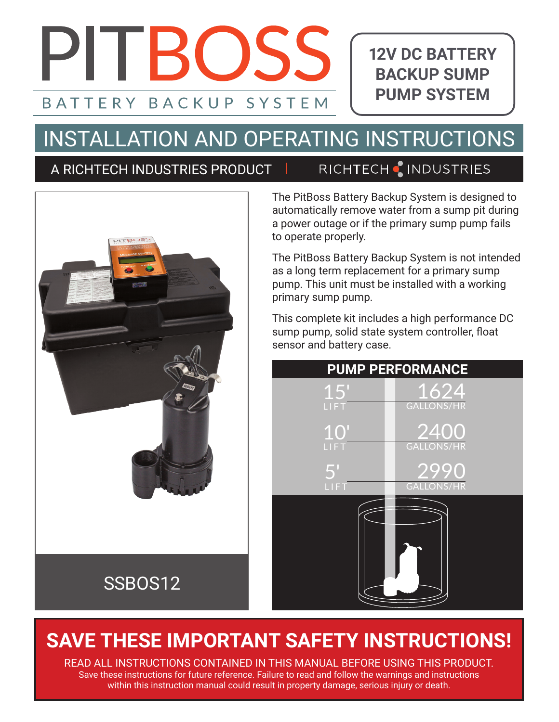# PITROSS BACKUP SYSTEM **BATTFRY**

**12V DC BATTERY BACKUP SUMP PUMP SYSTEM**

# INSTALLATION AND OPERATING INSTRUCTIONS

### A RICHTECH INDUSTRIES PRODUCT

### RICHTECH & INDUSTRIES



The PitBoss Battery Backup System is designed to automatically remove water from a sump pit during a power outage or if the primary sump pump fails to operate properly.

The PitBoss Battery Backup System is not intended as a long term replacement for a primary sump pump. This unit must be installed with a working primary sump pump.

This complete kit includes a high performance DC sump pump, solid state system controller, float sensor and battery case.



## **SAVE THESE IMPORTANT SAFETY INSTRUCTIONS!**

READ ALL INSTRUCTIONS CONTAINED IN THIS MANUAL BEFORE USING THIS PRODUCT. Save these instructions for future reference. Failure to read and follow the warnings and instructions within this instruction manual could result in property damage, serious injury or death.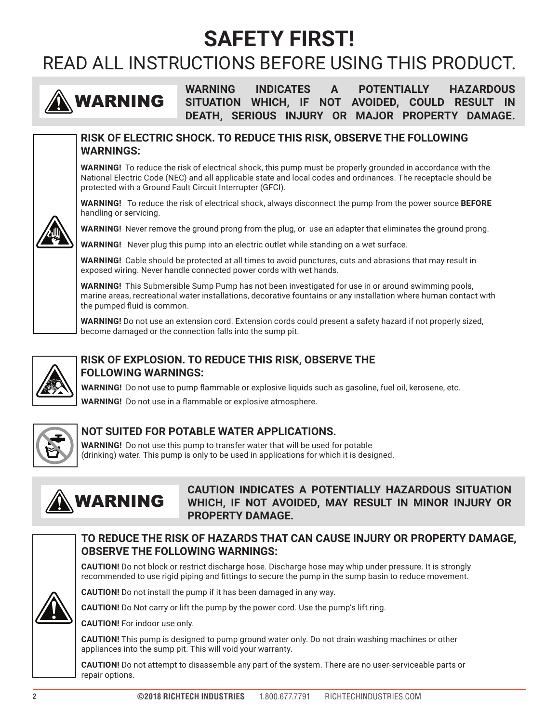## **SAFETY FIRST!**

## READ ALL INSTRUCTIONS BEFORE USING THIS PRODUCT.



**WARNING INDICATES A POTENTIALLY HAZARDOUS SITUATION WHICH, IF NOT AVOIDED, COULD RESULT IN DEATH, SERIOUS INJURY OR MAJOR PROPERTY DAMAGE.**



**RISK OF ELECTRIC SHOCK. TO REDUCE THIS RISK, OBSERVE THE FOLLOWING WARNINGS:**

**WARNING!** To reduce the risk of electrical shock, this pump must be properly grounded in accordance with the National Electric Code (NEC) and all applicable state and local codes and ordinances. The receptacle should be protected with a Ground Fault Circuit Interrupter (GFCI).

**WARNING!** To reduce the risk of electrical shock, always disconnect the pump from the power source **BEFORE** handling or servicing.



**WARNING!** Never remove the ground prong from the plug, or use an adapter that eliminates the ground prong.

**WARNING!** Never plug this pump into an electric outlet while standing on a wet surface.

**WARNING!** Cable should be protected at all times to avoid punctures, cuts and abrasions that may result in exposed wiring. Never handle connected power cords with wet hands.

**WARNING!** This Submersible Sump Pump has not been investigated for use in or around swimming pools, marine areas, recreational water installations, decorative fountains or any installation where human contact with the pumped fluid is common.

**WARNING!** Do not use an extension cord. Extension cords could present a safety hazard if not properly sized, become damaged or the connection falls into the sump pit.



#### **RISK OF EXPLOSION. TO REDUCE THIS RISK, OBSERVE THE FOLLOWING WARNINGS:**

**WARNING!** Do not use to pump flammable or explosive liquids such as gasoline, fuel oil, kerosene, etc. **WARNING!** Do not use in a flammable or explosive atmosphere.



#### **NOT SUITED FOR POTABLE WATER APPLICATIONS.**

**WARNING!** Do not use this pump to transfer water that will be used for potable (drinking) water. This pump is only to be used in applications for which it is designed.



#### **CAUTION INDICATES A POTENTIALLY HAZARDOUS SITUATION WHICH, IF NOT AVOIDED, MAY RESULT IN MINOR INJURY OR PROPERTY DAMAGE.**

#### **TO REDUCE THE RISK OF HAZARDS THAT CAN CAUSE INJURY OR PROPERTY DAMAGE, OBSERVE THE FOLLOWING WARNINGS:**

**CAUTION!** Do not block or restrict discharge hose. Discharge hose may whip under pressure. It is strongly recommended to use rigid piping and fittings to secure the pump in the sump basin to reduce movement.



**CAUTION!** Do not install the pump if it has been damaged in any way.

**CAUTION!** Do Not carry or lift the pump by the power cord. Use the pump's lift ring.

**CAUTION!** For indoor use only.

**CAUTION!** This pump is designed to pump ground water only. Do not drain washing machines or other appliances into the sump pit. This will void your warranty.

**CAUTION!** Do not attempt to disassemble any part of the system. There are no user-serviceable parts or repair options.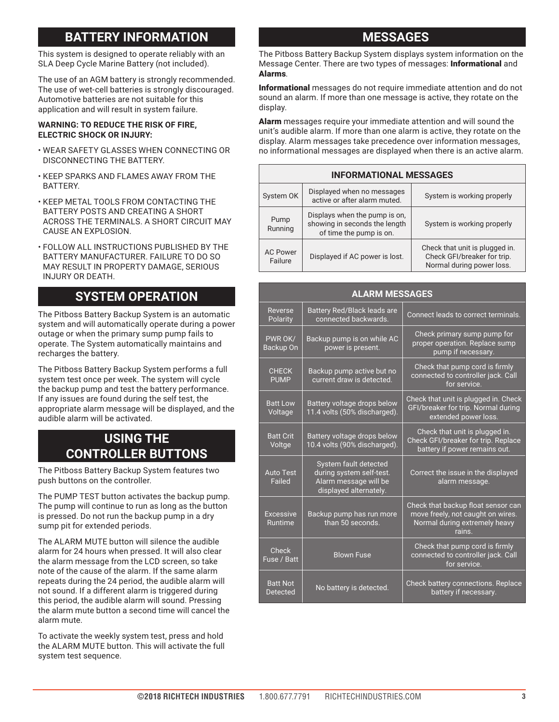#### **BATTERY INFORMATION**

This system is designed to operate reliably with an SLA Deep Cycle Marine Battery (not included).

The use of an AGM battery is strongly recommended. The use of wet-cell batteries is strongly discouraged. Automotive batteries are not suitable for this application and will result in system failure.

#### **WARNING: TO REDUCE THE RISK OF FIRE, ELECTRIC SHOCK OR INJURY:**

- WEAR SAFETY GLASSES WHEN CONNECTING OR DISCONNECTING THE BATTERY.
- KEEP SPARKS AND FLAMES AWAY FROM THE **BATTERY**
- KEEP METAL TOOLS FROM CONTACTING THE BATTERY POSTS AND CREATING A SHORT ACROSS THE TERMINALS. A SHORT CIRCUIT MAY CAUSE AN EXPLOSION.
- FOLLOW ALL INSTRUCTIONS PUBLISHED BY THE BATTERY MANUFACTURER. FAILURE TO DO SO MAY RESULT IN PROPERTY DAMAGE, SERIOUS INJURY OR DEATH.

#### **SYSTEM OPERATION**

The Pitboss Battery Backup System is an automatic system and will automatically operate during a power outage or when the primary sump pump fails to operate. The System automatically maintains and recharges the battery.

The Pitboss Battery Backup System performs a full system test once per week. The system will cycle the backup pump and test the battery performance. If any issues are found during the self test, the appropriate alarm message will be displayed, and the audible alarm will be activated.

#### **USING THE CONTROLLER BUTTONS**

The Pitboss Battery Backup System features two push buttons on the controller.

The PUMP TEST button activates the backup pump. The pump will continue to run as long as the button is pressed. Do not run the backup pump in a dry sump pit for extended periods.

The ALARM MUTE button will silence the audible alarm for 24 hours when pressed. It will also clear the alarm message from the LCD screen, so take note of the cause of the alarm. If the same alarm repeats during the 24 period, the audible alarm will not sound. If a different alarm is triggered during this period, the audible alarm will sound. Pressing the alarm mute button a second time will cancel the alarm mute.

To activate the weekly system test, press and hold the ALARM MUTE button. This will activate the full system test sequence.

#### **MESSAGES**

The Pitboss Battery Backup System displays system information on the Message Center. There are two types of messages: Informational and Alarms.

Informational messages do not require immediate attention and do not sound an alarm. If more than one message is active, they rotate on the display.

Alarm messages require your immediate attention and will sound the unit's audible alarm. If more than one alarm is active, they rotate on the display. Alarm messages take precedence over information messages, no informational messages are displayed when there is an active alarm.

| <b>INFORMATIONAL MESSAGES</b> |                                                                                           |                                                                                            |  |  |
|-------------------------------|-------------------------------------------------------------------------------------------|--------------------------------------------------------------------------------------------|--|--|
| System OK                     | Displayed when no messages<br>active or after alarm muted.                                | System is working properly                                                                 |  |  |
| Pump<br>Running               | Displays when the pump is on,<br>showing in seconds the length<br>of time the pump is on. | System is working properly                                                                 |  |  |
| <b>AC Power</b><br>Failure    | Displayed if AC power is lost.                                                            | Check that unit is plugged in.<br>Check GFI/breaker for trip.<br>Normal during power loss. |  |  |

| <b>ALARM MESSAGES</b>              |                                                                                                      |                                                                                                                    |
|------------------------------------|------------------------------------------------------------------------------------------------------|--------------------------------------------------------------------------------------------------------------------|
| Reverse<br>Polarity                | <b>Battery Red/Black leads are</b><br>connected backwards.                                           | Connect leads to correct terminals.                                                                                |
| PWR OK/<br>Backup On               | Backup pump is on while AC<br>power is present.                                                      | Check primary sump pump for<br>proper operation. Replace sump<br>pump if necessary.                                |
| <b>CHECK</b><br><b>PUMP</b>        | Backup pump active but no<br>current draw is detected.                                               | Check that pump cord is firmly<br>connected to controller jack. Call<br>for service.                               |
| <b>Batt Low</b><br>Voltage         | Battery voltage drops below<br>11.4 volts (50% discharged).                                          | Check that unit is plugged in. Check<br>GFI/breaker for trip. Normal during<br>extended power loss.                |
| <b>Batt Crit</b><br>Voltge         | Battery voltage drops below<br>10.4 volts (90% discharged).                                          | Check that unit is plugged in.<br>Check GFI/breaker for trip. Replace<br>battery if power remains out.             |
| <b>Auto Test</b><br>Failed         | System fault detected<br>during system self-test.<br>Alarm message will be<br>displayed alternately. | Correct the issue in the displayed<br>alarm message.                                                               |
| <b>Excessive</b><br>Runtime        | Backup pump has run more<br>than 50 seconds.                                                         | Check that backup float sensor can<br>move freely, not caught on wires.<br>Normal during extremely heavy<br>rains. |
| Check<br>Fuse / Batt               | <b>Blown Fuse</b>                                                                                    | Check that pump cord is firmly<br>connected to controller jack. Call<br>for service.                               |
| <b>Batt Not</b><br><b>Detected</b> | No battery is detected.                                                                              | Check battery connections. Replace<br>battery if necessary.                                                        |